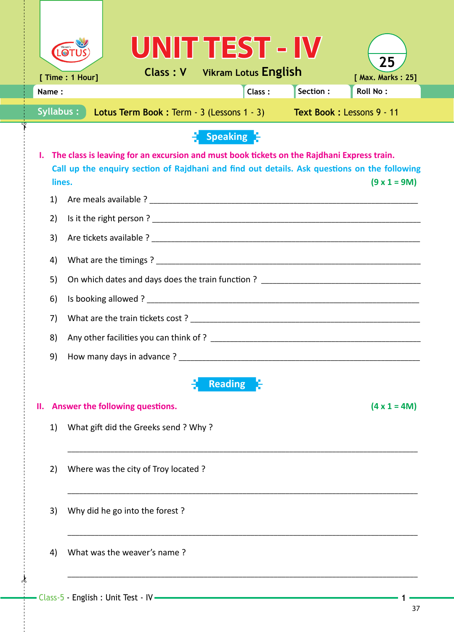|                                                                                  |                                                                                                                                                                                                                                         |                                                                                         |  |                                      |  |  | UNIT TEST - IV                       |                     |                         |  |
|----------------------------------------------------------------------------------|-----------------------------------------------------------------------------------------------------------------------------------------------------------------------------------------------------------------------------------------|-----------------------------------------------------------------------------------------|--|--------------------------------------|--|--|--------------------------------------|---------------------|-------------------------|--|
|                                                                                  |                                                                                                                                                                                                                                         | [ Time : 1 Hour]                                                                        |  |                                      |  |  | <b>Class: V</b> Vikram Lotus English |                     | 25<br>[ Max. Marks: 25] |  |
|                                                                                  | Name:                                                                                                                                                                                                                                   |                                                                                         |  |                                      |  |  | Class:                               | Section:            | <b>Roll No:</b>         |  |
| Syllabus:<br>Lotus Term Book: Term - 3 (Lessons 1 - 3) Text Book: Lessons 9 - 11 |                                                                                                                                                                                                                                         |                                                                                         |  |                                      |  |  |                                      |                     |                         |  |
|                                                                                  | Speaking                                                                                                                                                                                                                                |                                                                                         |  |                                      |  |  |                                      |                     |                         |  |
|                                                                                  | The class is leaving for an excursion and must book tickets on the Rajdhani Express train.<br>ı.<br>Call up the enquiry section of Rajdhani and find out details. Ask questions on the following<br>$(9 \times 1 = 9M)$<br>lines.<br>1) |                                                                                         |  |                                      |  |  |                                      |                     |                         |  |
|                                                                                  |                                                                                                                                                                                                                                         |                                                                                         |  |                                      |  |  |                                      |                     |                         |  |
|                                                                                  | 2)                                                                                                                                                                                                                                      |                                                                                         |  |                                      |  |  |                                      |                     |                         |  |
|                                                                                  | 3)                                                                                                                                                                                                                                      |                                                                                         |  |                                      |  |  |                                      |                     |                         |  |
|                                                                                  | 4)                                                                                                                                                                                                                                      |                                                                                         |  |                                      |  |  |                                      |                     |                         |  |
|                                                                                  |                                                                                                                                                                                                                                         | On which dates and days does the train function ? _______________________________<br>5) |  |                                      |  |  |                                      |                     |                         |  |
|                                                                                  | 6)                                                                                                                                                                                                                                      |                                                                                         |  |                                      |  |  |                                      |                     |                         |  |
|                                                                                  | 7)                                                                                                                                                                                                                                      |                                                                                         |  |                                      |  |  |                                      |                     |                         |  |
|                                                                                  | 8)                                                                                                                                                                                                                                      |                                                                                         |  |                                      |  |  |                                      |                     |                         |  |
|                                                                                  | 9)                                                                                                                                                                                                                                      |                                                                                         |  |                                      |  |  |                                      |                     |                         |  |
| <b>Reading</b>                                                                   |                                                                                                                                                                                                                                         |                                                                                         |  |                                      |  |  |                                      |                     |                         |  |
| Answer the following questions.<br>Ш.                                            |                                                                                                                                                                                                                                         |                                                                                         |  |                                      |  |  |                                      | $(4 \times 1 = 4M)$ |                         |  |
|                                                                                  | 1)                                                                                                                                                                                                                                      |                                                                                         |  | What gift did the Greeks send ? Why? |  |  |                                      |                     |                         |  |
|                                                                                  | 2)                                                                                                                                                                                                                                      |                                                                                         |  | Where was the city of Troy located?  |  |  |                                      |                     |                         |  |
|                                                                                  | 3)                                                                                                                                                                                                                                      |                                                                                         |  | Why did he go into the forest?       |  |  |                                      |                     |                         |  |
|                                                                                  | 4)                                                                                                                                                                                                                                      |                                                                                         |  | What was the weaver's name?          |  |  |                                      |                     |                         |  |
|                                                                                  |                                                                                                                                                                                                                                         |                                                                                         |  |                                      |  |  |                                      |                     |                         |  |

 $\frac{1}{2}$ 

 $\int$